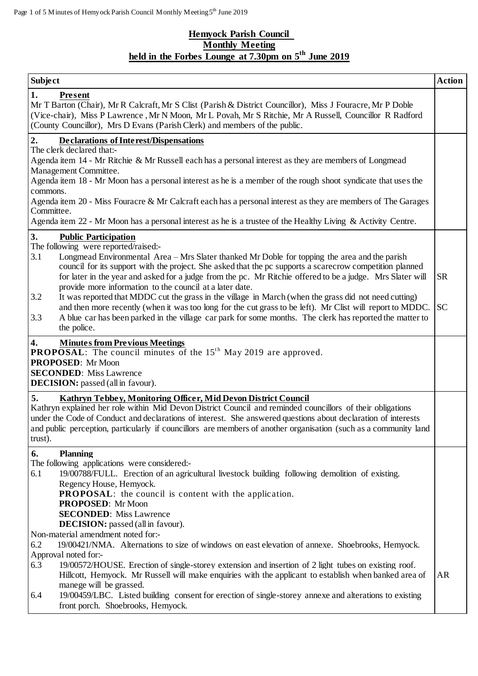## **Hemyock Parish Council Monthly Meeting held in the Forbes Lounge at 7.30pm on 5 th June 2019**

| <b>Subject</b>                                                                                                                                                                                                                                                                                                             |  | <b>Action</b> |
|----------------------------------------------------------------------------------------------------------------------------------------------------------------------------------------------------------------------------------------------------------------------------------------------------------------------------|--|---------------|
| <b>Present</b><br>1.<br>Mr T Barton (Chair), Mr R Calcraft, Mr S Clist (Parish & District Councillor), Miss J Fouracre, Mr P Doble<br>(Vice-chair), Miss P Lawrence, Mr N Moon, Mr L Povah, Mr S Ritchie, Mr A Russell, Councillor R Radford<br>(County Councillor), Mrs D Evans (Parish Clerk) and members of the public. |  |               |
| $\overline{2}$ .<br><b>Declarations of Interest/Dispensations</b>                                                                                                                                                                                                                                                          |  |               |
| The clerk declared that:-                                                                                                                                                                                                                                                                                                  |  |               |
| Agenda item 14 - Mr Ritchie & Mr Russell each has a personal interest as they are members of Longmead                                                                                                                                                                                                                      |  |               |
| Management Committee.<br>Agenda item 18 - Mr Moon has a personal interest as he is a member of the rough shoot syndicate that uses the                                                                                                                                                                                     |  |               |
| commons.                                                                                                                                                                                                                                                                                                                   |  |               |
| Agenda item 20 - Miss Fouracre & Mr Calcraft each has a personal interest as they are members of The Garages                                                                                                                                                                                                               |  |               |
| Committee.                                                                                                                                                                                                                                                                                                                 |  |               |
| Agenda item 22 - Mr Moon has a personal interest as he is a trustee of the Healthy Living & Activity Centre.                                                                                                                                                                                                               |  |               |
| 3.<br><b>Public Participation</b>                                                                                                                                                                                                                                                                                          |  |               |
| The following were reported/raised:-                                                                                                                                                                                                                                                                                       |  |               |
| Longmead Environmental Area - Mrs Slater thanked Mr Doble for topping the area and the parish<br>3.1                                                                                                                                                                                                                       |  |               |
| council for its support with the project. She asked that the pc supports a scarecrow competition planned<br>for later in the year and asked for a judge from the pc. Mr Ritchie offered to be a judge. Mrs Slater will                                                                                                     |  | <b>SR</b>     |
| provide more information to the council at a later date.                                                                                                                                                                                                                                                                   |  |               |
| 3.2<br>It was reported that MDDC cut the grass in the village in March (when the grass did not need cutting)                                                                                                                                                                                                               |  |               |
| and then more recently (when it was too long for the cut grass to be left). Mr Clist will report to MDDC.                                                                                                                                                                                                                  |  | <b>SC</b>     |
| 3.3<br>A blue car has been parked in the village car park for some months. The clerk has reported the matter to                                                                                                                                                                                                            |  |               |
| the police.                                                                                                                                                                                                                                                                                                                |  |               |
| <b>Minutes from Previous Meetings</b><br>4.<br><b>PROPOSAL:</b> The council minutes of the 15 <sup>th</sup> May 2019 are approved.                                                                                                                                                                                         |  |               |
| <b>PROPOSED:</b> Mr Moon                                                                                                                                                                                                                                                                                                   |  |               |
| <b>SECONDED:</b> Miss Lawrence                                                                                                                                                                                                                                                                                             |  |               |
| <b>DECISION:</b> passed (all in favour).                                                                                                                                                                                                                                                                                   |  |               |
| 5.<br>Kathryn Tebbey, Monitoring Officer, Mid Devon District Council                                                                                                                                                                                                                                                       |  |               |
| Kathryn explained her role within Mid Devon District Council and reminded councillors of their obligations                                                                                                                                                                                                                 |  |               |
| under the Code of Conduct and declarations of interest. She answered questions about declaration of interests                                                                                                                                                                                                              |  |               |
| and public perception, particularly if councillors are members of another organisation (such as a community land<br>trust).                                                                                                                                                                                                |  |               |
|                                                                                                                                                                                                                                                                                                                            |  |               |
| <b>Planning</b><br>6.<br>The following applications were considered:-                                                                                                                                                                                                                                                      |  |               |
| 19/00788/FULL. Erection of an agricultural livestock building following demolition of existing.<br>6.1                                                                                                                                                                                                                     |  |               |
| Regency House, Hemyock.                                                                                                                                                                                                                                                                                                    |  |               |
| <b>PROPOSAL:</b> the council is content with the application.                                                                                                                                                                                                                                                              |  |               |
| <b>PROPOSED:</b> Mr Moon                                                                                                                                                                                                                                                                                                   |  |               |
| <b>SECONDED:</b> Miss Lawrence                                                                                                                                                                                                                                                                                             |  |               |
| <b>DECISION:</b> passed (all in favour).<br>Non-material amendment noted for:-                                                                                                                                                                                                                                             |  |               |
| 19/00421/NMA. Alternations to size of windows on east elevation of annexe. Shoebrooks, Hemyock.<br>6.2                                                                                                                                                                                                                     |  |               |
| Approval noted for:-                                                                                                                                                                                                                                                                                                       |  |               |
| 19/00572/HOUSE. Erection of single-storey extension and insertion of 2 light tubes on existing roof.<br>6.3                                                                                                                                                                                                                |  |               |
| Hillcott, Hemyock. Mr Russell will make enquiries with the applicant to establish when banked area of                                                                                                                                                                                                                      |  | <b>AR</b>     |
| manege will be grassed.                                                                                                                                                                                                                                                                                                    |  |               |
| 19/00459/LBC. Listed building consent for erection of single-storey annexe and alterations to existing<br>6.4                                                                                                                                                                                                              |  |               |
| front porch. Shoebrooks, Hemyock.                                                                                                                                                                                                                                                                                          |  |               |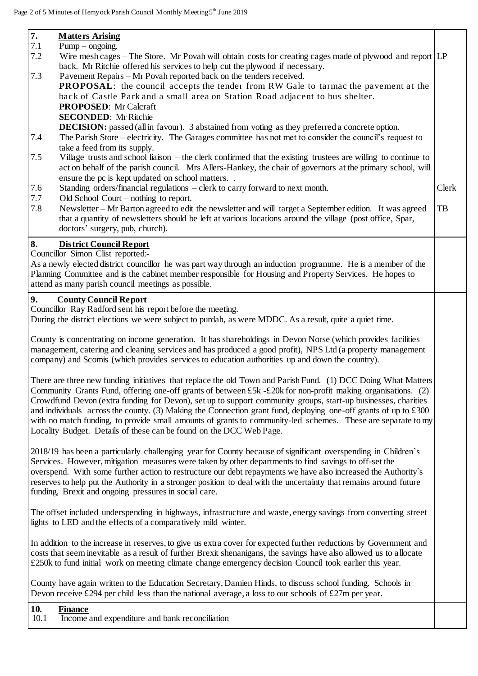| 7.                                                                                                                                                                                                                         | <b>Matters Arising</b>                                                                                                                                                                                                                  |       |  |
|----------------------------------------------------------------------------------------------------------------------------------------------------------------------------------------------------------------------------|-----------------------------------------------------------------------------------------------------------------------------------------------------------------------------------------------------------------------------------------|-------|--|
| 7.1<br>7.2                                                                                                                                                                                                                 | $Pump - ongoing.$<br>Wire mesh cages – The Store. Mr Povah will obtain costs for creating cages made of plywood and report $\lfloor L \rfloor$                                                                                          |       |  |
|                                                                                                                                                                                                                            | back. Mr Ritchie offered his services to help cut the plywood if necessary.                                                                                                                                                             |       |  |
| 7.3                                                                                                                                                                                                                        | Pavement Repairs – Mr Povah reported back on the tenders received.                                                                                                                                                                      |       |  |
|                                                                                                                                                                                                                            | <b>PROPOSAL:</b> the council accepts the tender from RW Gale to tarmac the pavement at the                                                                                                                                              |       |  |
|                                                                                                                                                                                                                            | back of Castle Park and a small area on Station Road adjacent to bus shelter.<br><b>PROPOSED:</b> Mr Calcraft                                                                                                                           |       |  |
|                                                                                                                                                                                                                            | <b>SECONDED:</b> Mr Ritchie                                                                                                                                                                                                             |       |  |
|                                                                                                                                                                                                                            | <b>DECISION:</b> passed (all in favour). 3 abstained from voting as they preferred a concrete option.                                                                                                                                   |       |  |
| 7.4                                                                                                                                                                                                                        | The Parish Store – electricity. The Garages committee has not met to consider the council's request to                                                                                                                                  |       |  |
|                                                                                                                                                                                                                            | take a feed from its supply.                                                                                                                                                                                                            |       |  |
| 7.5                                                                                                                                                                                                                        | Village trusts and school liaison – the clerk confirmed that the existing trustees are willing to continue to                                                                                                                           |       |  |
|                                                                                                                                                                                                                            | act on behalf of the parish council. Mrs Allers-Hankey, the chair of governors at the primary school, will<br>ensure the pc is kept updated on school matters                                                                           |       |  |
| 7.6                                                                                                                                                                                                                        | Standing orders/financial regulations - clerk to carry forward to next month.                                                                                                                                                           | Clerk |  |
| 7.7                                                                                                                                                                                                                        | Old School Court $-$ nothing to report.                                                                                                                                                                                                 |       |  |
| 7.8                                                                                                                                                                                                                        | Newsletter – Mr Barton agreed to edit the newsletter and will target a September edition. It was agreed                                                                                                                                 | TB    |  |
|                                                                                                                                                                                                                            | that a quantity of newsletters should be left at various locations around the village (post office, Spar,                                                                                                                               |       |  |
|                                                                                                                                                                                                                            | doctors' surgery, pub, church).                                                                                                                                                                                                         |       |  |
| 8.                                                                                                                                                                                                                         | <b>District Council Report</b>                                                                                                                                                                                                          |       |  |
|                                                                                                                                                                                                                            | Councillor Simon Clist reported:-                                                                                                                                                                                                       |       |  |
|                                                                                                                                                                                                                            | As a newly elected district councillor he was part way through an induction programme. He is a member of the<br>Planning Committee and is the cabinet member responsible for Housing and Property Services. He hopes to                 |       |  |
|                                                                                                                                                                                                                            | attend as many parish council meetings as possible.                                                                                                                                                                                     |       |  |
| 9.                                                                                                                                                                                                                         |                                                                                                                                                                                                                                         |       |  |
|                                                                                                                                                                                                                            | <b>County Council Report</b><br>Councillor Ray Radford sent his report before the meeting.                                                                                                                                              |       |  |
|                                                                                                                                                                                                                            | During the district elections we were subject to purdah, as were MDDC. As a result, quite a quiet time.                                                                                                                                 |       |  |
|                                                                                                                                                                                                                            |                                                                                                                                                                                                                                         |       |  |
| County is concentrating on income generation. It has shareholdings in Devon Norse (which provides facilities<br>management, catering and cleaning services and has produced a good profit), NPS Ltd (a property management |                                                                                                                                                                                                                                         |       |  |
|                                                                                                                                                                                                                            | company) and Scomis (which provides services to education authorities up and down the country).                                                                                                                                         |       |  |
|                                                                                                                                                                                                                            |                                                                                                                                                                                                                                         |       |  |
|                                                                                                                                                                                                                            | There are three new funding initiatives that replace the old Town and Parish Fund. (1) DCC Doing What Matters                                                                                                                           |       |  |
|                                                                                                                                                                                                                            | Community Grants Fund, offering one-off grants of between £5k -£20k for non-profit making organisations. (2)                                                                                                                            |       |  |
|                                                                                                                                                                                                                            | Crowdfund Devon (extra funding for Devon), set up to support community groups, start-up businesses, charities                                                                                                                           |       |  |
|                                                                                                                                                                                                                            | and individuals across the county. (3) Making the Connection grant fund, deploying one-off grants of up to £300<br>with no match funding, to provide small amounts of grants to community-led schemes. These are separate to my         |       |  |
|                                                                                                                                                                                                                            | Locality Budget. Details of these can be found on the DCC Web Page.                                                                                                                                                                     |       |  |
|                                                                                                                                                                                                                            |                                                                                                                                                                                                                                         |       |  |
|                                                                                                                                                                                                                            | 2018/19 has been a particularly challenging year for County because of significant overspending in Children's                                                                                                                           |       |  |
|                                                                                                                                                                                                                            | Services. However, mitigation measures were taken by other departments to find savings to off-set the                                                                                                                                   |       |  |
|                                                                                                                                                                                                                            | overspend. With some further action to restructure our debt repayments we have also increased the Authority's                                                                                                                           |       |  |
|                                                                                                                                                                                                                            | reserves to help put the Authority in a stronger position to deal with the uncertainty that remains around future<br>funding, Brexit and ongoing pressures in social care.                                                              |       |  |
|                                                                                                                                                                                                                            |                                                                                                                                                                                                                                         |       |  |
|                                                                                                                                                                                                                            | The offset included underspending in highways, infrastructure and waste, energy savings from converting street                                                                                                                          |       |  |
|                                                                                                                                                                                                                            | lights to LED and the effects of a comparatively mild winter.                                                                                                                                                                           |       |  |
|                                                                                                                                                                                                                            |                                                                                                                                                                                                                                         |       |  |
|                                                                                                                                                                                                                            | In addition to the increase in reserves, to give us extra cover for expected further reductions by Government and<br>costs that seem inevitable as a result of further Brexit shenanigans, the savings have also allowed us to allocate |       |  |
|                                                                                                                                                                                                                            | £250k to fund initial work on meeting climate change emergency decision Council took earlier this year.                                                                                                                                 |       |  |
|                                                                                                                                                                                                                            |                                                                                                                                                                                                                                         |       |  |
|                                                                                                                                                                                                                            | County have again written to the Education Secretary, Damien Hinds, to discuss school funding. Schools in                                                                                                                               |       |  |
|                                                                                                                                                                                                                            | Devon receive £294 per child less than the national average, a loss to our schools of £27m per year.                                                                                                                                    |       |  |
| 10.                                                                                                                                                                                                                        | <b>Finance</b>                                                                                                                                                                                                                          |       |  |
| 10.1                                                                                                                                                                                                                       | Income and expenditure and bank reconciliation                                                                                                                                                                                          |       |  |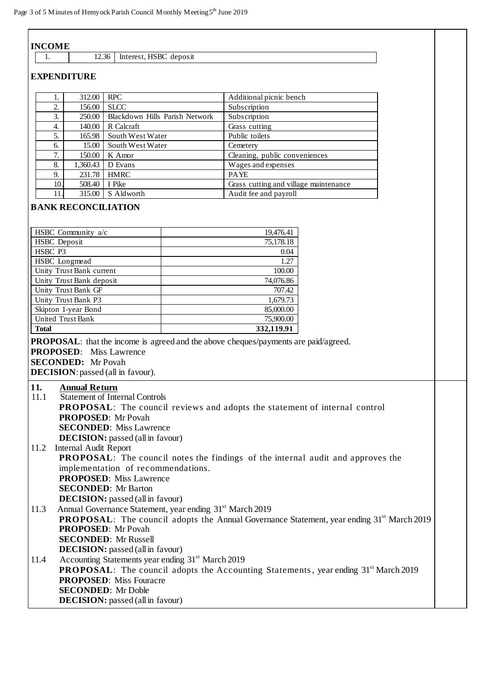| <b>INCOME</b>                                                                                                |                        |                                                                                             |  |  |  |
|--------------------------------------------------------------------------------------------------------------|------------------------|---------------------------------------------------------------------------------------------|--|--|--|
| 12.36<br>1.                                                                                                  | Interest, HSBC deposit |                                                                                             |  |  |  |
|                                                                                                              |                        |                                                                                             |  |  |  |
| <b>EXPENDITURE</b>                                                                                           |                        |                                                                                             |  |  |  |
| 312.00<br><b>RPC</b><br>1.                                                                                   |                        | Additional picnic bench                                                                     |  |  |  |
| $\overline{2}$ .<br><b>SLCC</b><br>156.00                                                                    |                        | Subscription                                                                                |  |  |  |
| 3.<br>250.00   Blackdown Hills Parish Network                                                                |                        | Subscription                                                                                |  |  |  |
| 140.00 R Calcraft<br>4.                                                                                      |                        | Grass cutting                                                                               |  |  |  |
| 165.98 South West Water<br>5.                                                                                |                        | Public toilets                                                                              |  |  |  |
| 15.00 South West Water<br>6.                                                                                 |                        | Cemetery                                                                                    |  |  |  |
| 7.<br>150.00   K Amor                                                                                        |                        | Cleaning, public conveniences                                                               |  |  |  |
| 8.<br>1,360.43 D Evans                                                                                       |                        | Wages and expenses                                                                          |  |  |  |
| 9.<br>231.78 HMRC                                                                                            |                        | <b>PAYE</b>                                                                                 |  |  |  |
| 10.<br>508.40 I Pike                                                                                         |                        | Grass cutting and village maintenance                                                       |  |  |  |
| 11.<br>315.00 S Aldworth                                                                                     |                        | Audit fee and payroll                                                                       |  |  |  |
| <b>BANK RECONCILIATION</b><br>HSBC Community a/c                                                             |                        | 19,476.41                                                                                   |  |  |  |
| HSBC Deposit                                                                                                 |                        | 75,178.18                                                                                   |  |  |  |
| HSBC P3                                                                                                      |                        | 0.04                                                                                        |  |  |  |
| HSBC Longmead                                                                                                |                        | 1.27                                                                                        |  |  |  |
| Unity Trust Bank current                                                                                     |                        | 100.00                                                                                      |  |  |  |
| Unity Trust Bank deposit                                                                                     |                        | 74,076.86                                                                                   |  |  |  |
| Unity Trust Bank GF                                                                                          |                        | 707.42                                                                                      |  |  |  |
| Unity Trust Bank P3                                                                                          |                        | 1,679.73                                                                                    |  |  |  |
| Skipton 1-year Bond                                                                                          |                        | 85,000.00                                                                                   |  |  |  |
| <b>United Trust Bank</b>                                                                                     |                        | 75,900.00                                                                                   |  |  |  |
| <b>Total</b>                                                                                                 |                        | 332,119.91                                                                                  |  |  |  |
|                                                                                                              |                        | <b>PROPOSAL</b> : that the income is agreed and the above cheques/payments are paid/agreed. |  |  |  |
| <b>PROPOSED:</b> Miss Lawrence                                                                               |                        |                                                                                             |  |  |  |
| <b>SECONDED:</b> Mr Povah                                                                                    |                        |                                                                                             |  |  |  |
| <b>DECISION</b> : passed (all in favour).                                                                    |                        |                                                                                             |  |  |  |
|                                                                                                              |                        |                                                                                             |  |  |  |
| 11.<br><b>Annual Return</b>                                                                                  |                        |                                                                                             |  |  |  |
| 11.1<br><b>Statement of Internal Controls</b>                                                                |                        |                                                                                             |  |  |  |
|                                                                                                              |                        | <b>PROPOSAL:</b> The council reviews and adopts the statement of internal control           |  |  |  |
| <b>PROPOSED:</b> Mr Povah                                                                                    |                        |                                                                                             |  |  |  |
| <b>SECONDED:</b> Miss Lawrence                                                                               |                        |                                                                                             |  |  |  |
| <b>DECISION:</b> passed (all in favour)                                                                      |                        |                                                                                             |  |  |  |
| <b>Internal Audit Report</b><br>11.2                                                                         |                        |                                                                                             |  |  |  |
|                                                                                                              |                        | <b>PROPOSAL:</b> The council notes the findings of the internal audit and approves the      |  |  |  |
| implementation of recommendations.                                                                           |                        |                                                                                             |  |  |  |
| <b>PROPOSED:</b> Miss Lawrence                                                                               |                        |                                                                                             |  |  |  |
| <b>SECONDED:</b> Mr Barton                                                                                   |                        |                                                                                             |  |  |  |
| <b>DECISION:</b> passed (all in favour)                                                                      |                        |                                                                                             |  |  |  |
| Annual Governance Statement, year ending 31 <sup>st</sup> March 2019<br>11.3                                 |                        |                                                                                             |  |  |  |
| <b>PROPOSAL:</b> The council adopts the Annual Governance Statement, year ending 31 <sup>st</sup> March 2019 |                        |                                                                                             |  |  |  |
| <b>PROPOSED:</b> Mr Povah                                                                                    |                        |                                                                                             |  |  |  |
| <b>SECONDED:</b> Mr Russell                                                                                  |                        |                                                                                             |  |  |  |
| <b>DECISION:</b> passed (all in favour)                                                                      |                        |                                                                                             |  |  |  |
| Accounting Statements year ending 31 <sup>st</sup> March 2019<br>11.4                                        |                        |                                                                                             |  |  |  |
| <b>PROPOSAL:</b> The council adopts the Accounting Statements, year ending 31 <sup>st</sup> March 2019       |                        |                                                                                             |  |  |  |
| <b>PROPOSED:</b> Miss Fouracre                                                                               |                        |                                                                                             |  |  |  |
| <b>SECONDED:</b> Mr Doble                                                                                    |                        |                                                                                             |  |  |  |
| <b>DECISION:</b> passed (all in favour)                                                                      |                        |                                                                                             |  |  |  |
|                                                                                                              |                        |                                                                                             |  |  |  |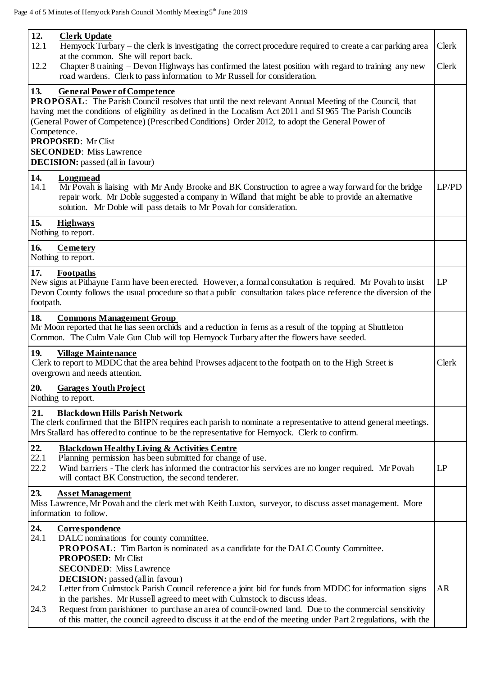|                     | ge 4 of 5 Minutes of Hemyock Parish Council Monthly Meeting 5th June 2019                                                                                                                                                                                                                                                                                                                                                                                                               |
|---------------------|-----------------------------------------------------------------------------------------------------------------------------------------------------------------------------------------------------------------------------------------------------------------------------------------------------------------------------------------------------------------------------------------------------------------------------------------------------------------------------------------|
| 12.<br>12.1<br>12.2 | <b>Clerk Update</b><br>Hemyock Turbary – the clerk is investigating the correct procedure required to create a car parking area<br>at the common. She will report back.<br>Chapter 8 training – Devon Highways has confirmed the latest position with regard to training any new                                                                                                                                                                                                        |
|                     | road wardens. Clerk to pass information to Mr Russell for consideration.                                                                                                                                                                                                                                                                                                                                                                                                                |
| 13.                 | <b>General Power of Competence</b><br>PROPOSAL: The Parish Council resolves that until the next relevant Annual Meeting of the Council, that<br>having met the conditions of eligibility as defined in the Localism Act 2011 and SI 965 The Parish Councils<br>(General Power of Competence) (Prescribed Conditions) Order 2012, to adopt the General Power of<br>Competence.<br><b>PROPOSED:</b> Mr Clist<br><b>SECONDED:</b> Miss Lawrence<br><b>DECISION:</b> passed (all in favour) |
| 14.<br>14.1         | Longmead<br>Mr Povah is liaising with Mr Andy Brooke and BK Construction to agree a way forward for the bridge<br>repair work. Mr Doble suggested a company in Willand that might be able to provide an alternative<br>solution. Mr Doble will pass details to Mr Povah for consideration.                                                                                                                                                                                              |
| 15.                 | <b>Highways</b><br>Nothing to report.                                                                                                                                                                                                                                                                                                                                                                                                                                                   |
| 16.                 | Cemetery<br>Nothing to report.                                                                                                                                                                                                                                                                                                                                                                                                                                                          |
| 17.<br>footpath.    | Footpaths<br>New signs at Pithayne Farm have been erected. However, a formal consultation is required. Mr Povah to insist<br>Devon County follows the usual procedure so that a public consultation takes place reference the diversion of the                                                                                                                                                                                                                                          |
| 18.                 | <b>Commons Management Group</b><br>Mr Moon reported that he has seen orchids and a reduction in ferns as a result of the topping at Shuttleton<br>Common. The Culm Vale Gun Club will top Hemyock Turbary after the flowers have seeded.                                                                                                                                                                                                                                                |
| 19.                 | <b>Village Maintenance</b><br>Clerk to report to MDDC that the area behind Prowses adjacent to the footpath on to the High Street is<br>overgrown and needs attention.                                                                                                                                                                                                                                                                                                                  |
| 20.                 | <b>Garages Youth Project</b><br>Nothing to report.                                                                                                                                                                                                                                                                                                                                                                                                                                      |
| 21.                 | <b>Blackdown Hills Parish Network</b><br>The clerk confirmed that the BHPN requires each parish to nominate a representative to attend general meetings.<br>Mrs Stallard has offered to continue to be the representative for Hemyock. Clerk to confirm.                                                                                                                                                                                                                                |
| 22.<br>22.1<br>22.2 | <b>Blackdown Healthy Living &amp; Activities Centre</b><br>Planning permission has been submitted for change of use.<br>Wind barriers - The clerk has informed the contractor his services are no longer required. Mr Povah<br>will contact BK Construction, the second tenderer.                                                                                                                                                                                                       |
| 23.                 | <b>Asset Management</b><br>Miss Lawrence, Mr Povah and the clerk met with Keith Luxton, surveyor, to discuss asset management. More<br>information to follow.                                                                                                                                                                                                                                                                                                                           |
| 24.<br>24.1         | <b>Correspondence</b><br>DALC nominations for county committee.<br><b>PROPOSAL:</b> Tim Barton is nominated as a candidate for the DALC County Committee.<br><b>PROPOSED:</b> Mr Clist<br><b>SECONDED:</b> Miss Lawrence                                                                                                                                                                                                                                                                |

Clerk

Clerk

LP/PD

LP

Clerk

LP

**DECISION:** passed (all in favour)

- 24.2 Letter from Culmstock Parish Council reference a joint bid for funds from MDDC for information signs in the parishes. Mr Russell agreed to meet with Culmstock to discuss ideas. AR
- 24.3 Request from parishioner to purchase an area of council-owned land. Due to the commercial sensitivity of this matter, the council agreed to discuss it at the end of the meeting under Part 2 regulations, with the